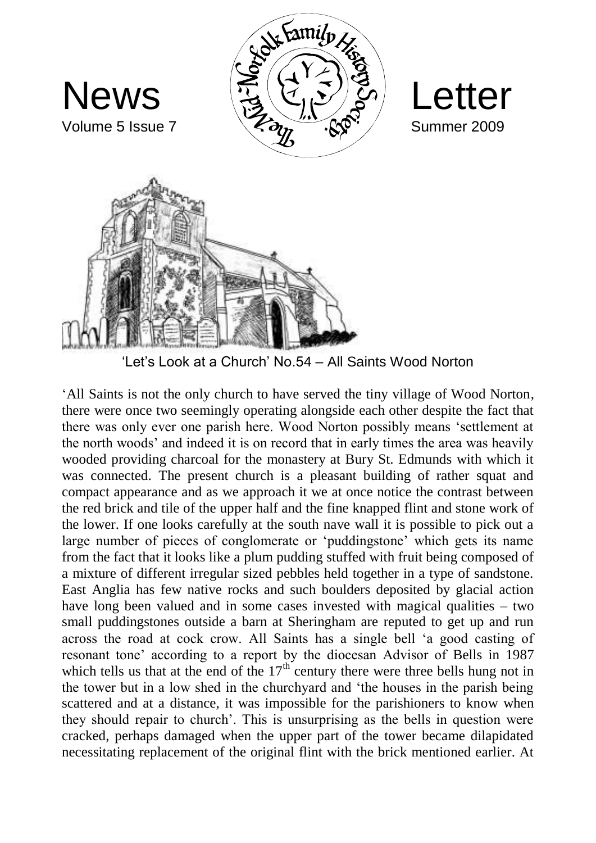

'Let's Look at a Church' No.54 – All Saints Wood Norton

'All Saints is not the only church to have served the tiny village of Wood Norton, there were once two seemingly operating alongside each other despite the fact that there was only ever one parish here. Wood Norton possibly means 'settlement at the north woods' and indeed it is on record that in early times the area was heavily wooded providing charcoal for the monastery at Bury St. Edmunds with which it was connected. The present church is a pleasant building of rather squat and compact appearance and as we approach it we at once notice the contrast between the red brick and tile of the upper half and the fine knapped flint and stone work of the lower. If one looks carefully at the south nave wall it is possible to pick out a large number of pieces of conglomerate or 'puddingstone' which gets its name from the fact that it looks like a plum pudding stuffed with fruit being composed of a mixture of different irregular sized pebbles held together in a type of sandstone. East Anglia has few native rocks and such boulders deposited by glacial action have long been valued and in some cases invested with magical qualities – two small puddingstones outside a barn at Sheringham are reputed to get up and run across the road at cock crow. All Saints has a single bell 'a good casting of resonant tone' according to a report by the diocesan Advisor of Bells in 1987 which tells us that at the end of the  $17<sup>th</sup>$  century there were three bells hung not in the tower but in a low shed in the churchyard and 'the houses in the parish being scattered and at a distance, it was impossible for the parishioners to know when they should repair to church'. This is unsurprising as the bells in question were cracked, perhaps damaged when the upper part of the tower became dilapidated necessitating replacement of the original flint with the brick mentioned earlier. At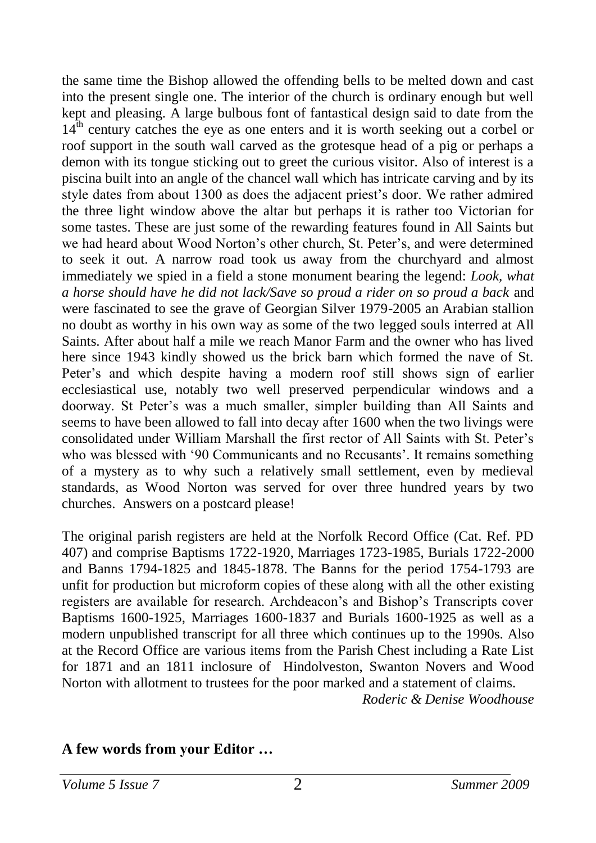the same time the Bishop allowed the offending bells to be melted down and cast into the present single one. The interior of the church is ordinary enough but well kept and pleasing. A large bulbous font of fantastical design said to date from the  $14<sup>th</sup>$  century catches the eye as one enters and it is worth seeking out a corbel or roof support in the south wall carved as the grotesque head of a pig or perhaps a demon with its tongue sticking out to greet the curious visitor. Also of interest is a piscina built into an angle of the chancel wall which has intricate carving and by its style dates from about 1300 as does the adjacent priest's door. We rather admired the three light window above the altar but perhaps it is rather too Victorian for some tastes. These are just some of the rewarding features found in All Saints but we had heard about Wood Norton's other church, St. Peter's, and were determined to seek it out. A narrow road took us away from the churchyard and almost immediately we spied in a field a stone monument bearing the legend: *Look, what a horse should have he did not lack/Save so proud a rider on so proud a back* and were fascinated to see the grave of Georgian Silver 1979-2005 an Arabian stallion no doubt as worthy in his own way as some of the two legged souls interred at All Saints. After about half a mile we reach Manor Farm and the owner who has lived here since 1943 kindly showed us the brick barn which formed the nave of St. Peter's and which despite having a modern roof still shows sign of earlier ecclesiastical use, notably two well preserved perpendicular windows and a doorway. St Peter's was a much smaller, simpler building than All Saints and seems to have been allowed to fall into decay after 1600 when the two livings were consolidated under William Marshall the first rector of All Saints with St. Peter's who was blessed with '90 Communicants and no Recusants'. It remains something of a mystery as to why such a relatively small settlement, even by medieval standards, as Wood Norton was served for over three hundred years by two churches. Answers on a postcard please!

The original parish registers are held at the Norfolk Record Office (Cat. Ref. PD 407) and comprise Baptisms 1722-1920, Marriages 1723-1985, Burials 1722-2000 and Banns 1794-1825 and 1845-1878. The Banns for the period 1754-1793 are unfit for production but microform copies of these along with all the other existing registers are available for research. Archdeacon's and Bishop's Transcripts cover Baptisms 1600-1925, Marriages 1600-1837 and Burials 1600-1925 as well as a modern unpublished transcript for all three which continues up to the 1990s. Also at the Record Office are various items from the Parish Chest including a Rate List for 1871 and an 1811 inclosure of Hindolveston, Swanton Novers and Wood Norton with allotment to trustees for the poor marked and a statement of claims.

*Roderic & Denise Woodhouse*

#### **A few words from your Editor …**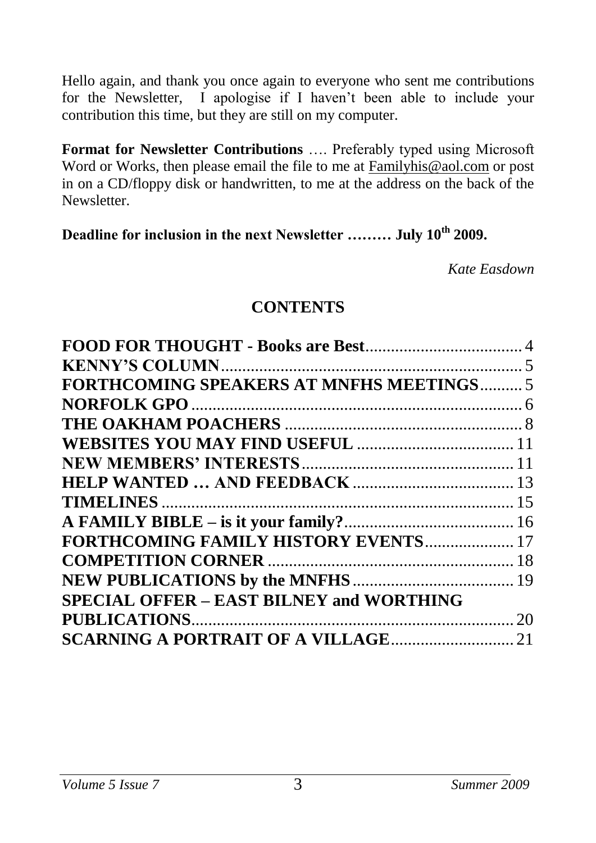Hello again, and thank you once again to everyone who sent me contributions for the Newsletter, I apologise if I haven't been able to include your contribution this time, but they are still on my computer.

**Format for Newsletter Contributions** …. Preferably typed using Microsoft Word or Works, then please email the file to me at [Familyhis@aol.com](mailto:Familyhis@aol.com) or post in on a CD/floppy disk or handwritten, to me at the address on the back of the Newsletter.

**Deadline for inclusion in the next Newsletter ……… July 10th 2009.**

*Kate Easdown*

#### **CONTENTS**

| <b>FORTHCOMING SPEAKERS AT MNFHS MEETINGS5</b>  |  |
|-------------------------------------------------|--|
|                                                 |  |
|                                                 |  |
|                                                 |  |
|                                                 |  |
|                                                 |  |
|                                                 |  |
|                                                 |  |
| FORTHCOMING FAMILY HISTORY EVENTS  17           |  |
|                                                 |  |
|                                                 |  |
| <b>SPECIAL OFFER - EAST BILNEY and WORTHING</b> |  |
|                                                 |  |
|                                                 |  |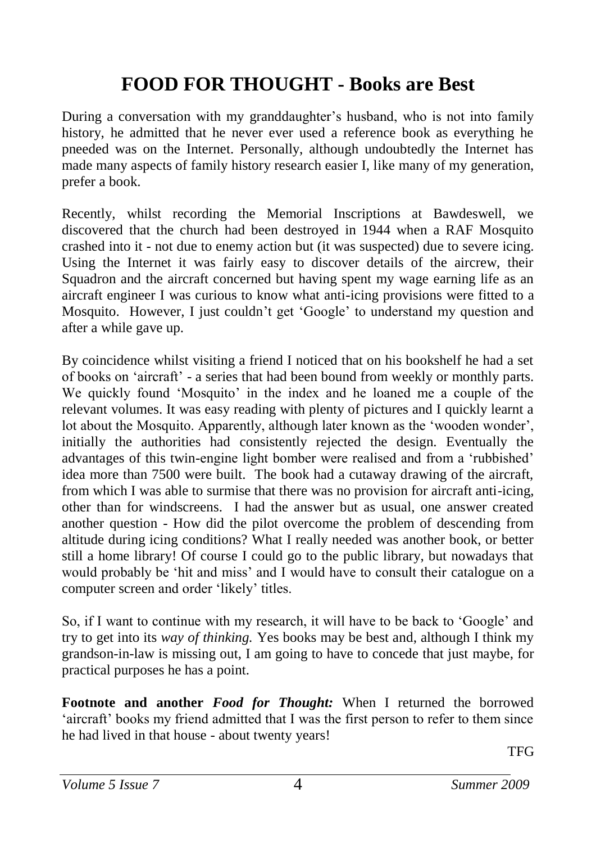## <span id="page-3-0"></span>**FOOD FOR THOUGHT - Books are Best**

During a conversation with my granddaughter's husband, who is not into family history, he admitted that he never ever used a reference book as everything he pneeded was on the Internet. Personally, although undoubtedly the Internet has made many aspects of family history research easier I, like many of my generation, prefer a book.

Recently, whilst recording the Memorial Inscriptions at Bawdeswell, we discovered that the church had been destroyed in 1944 when a RAF Mosquito crashed into it - not due to enemy action but (it was suspected) due to severe icing. Using the Internet it was fairly easy to discover details of the aircrew, their Squadron and the aircraft concerned but having spent my wage earning life as an aircraft engineer I was curious to know what anti-icing provisions were fitted to a Mosquito. However, I just couldn't get 'Google' to understand my question and after a while gave up.

By coincidence whilst visiting a friend I noticed that on his bookshelf he had a set of books on 'aircraft' - a series that had been bound from weekly or monthly parts. We quickly found 'Mosquito' in the index and he loaned me a couple of the relevant volumes. It was easy reading with plenty of pictures and I quickly learnt a lot about the Mosquito. Apparently, although later known as the 'wooden wonder', initially the authorities had consistently rejected the design. Eventually the advantages of this twin-engine light bomber were realised and from a 'rubbished' idea more than 7500 were built. The book had a cutaway drawing of the aircraft, from which I was able to surmise that there was no provision for aircraft anti-icing, other than for windscreens. I had the answer but as usual, one answer created another question - How did the pilot overcome the problem of descending from altitude during icing conditions? What I really needed was another book, or better still a home library! Of course I could go to the public library, but nowadays that would probably be 'hit and miss' and I would have to consult their catalogue on a computer screen and order 'likely' titles.

So, if I want to continue with my research, it will have to be back to 'Google' and try to get into its *way of thinking.* Yes books may be best and, although I think my grandson-in-law is missing out, I am going to have to concede that just maybe, for practical purposes he has a point.

**Footnote and another** *Food for Thought:* When I returned the borrowed 'aircraft' books my friend admitted that I was the first person to refer to them since he had lived in that house - about twenty years!

**TFG**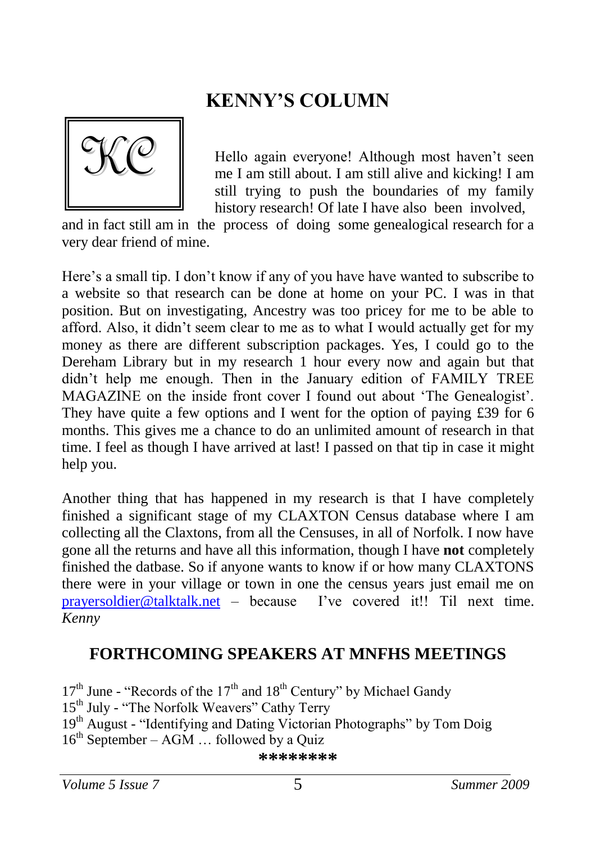## <span id="page-4-0"></span>**KENNY'S COLUMN**

<span id="page-4-1"></span>

Hello again everyone! Although most haven't seen me I am still about. I am still alive and kicking! I am still trying to push the boundaries of my family history research! Of late I have also been involved,

and in fact still am in the process of doing some genealogical research for a very dear friend of mine.

Here's a small tip. I don't know if any of you have have wanted to subscribe to a website so that research can be done at home on your PC. I was in that position. But on investigating, Ancestry was too pricey for me to be able to afford. Also, it didn't seem clear to me as to what I would actually get for my money as there are different subscription packages. Yes, I could go to the Dereham Library but in my research 1 hour every now and again but that didn't help me enough. Then in the January edition of FAMILY TREE MAGAZINE on the inside front cover I found out about 'The Genealogist'. They have quite a few options and I went for the option of paying £39 for 6 months. This gives me a chance to do an unlimited amount of research in that time. I feel as though I have arrived at last! I passed on that tip in case it might help you.

Another thing that has happened in my research is that I have completely finished a significant stage of my CLAXTON Census database where I am collecting all the Claxtons, from all the Censuses, in all of Norfolk. I now have gone all the returns and have all this information, though I have **not** completely finished the datbase. So if anyone wants to know if or how many CLAXTONS there were in your village or town in one the census years just email me on [prayersoldier@talktalk.net](mailto:prayersoldier@talktalk.net) – because I've covered it!! Til next time. *Kenny*

#### **FORTHCOMING SPEAKERS AT MNFHS MEETINGS**

 $17<sup>th</sup>$  June - "Records of the  $17<sup>th</sup>$  and  $18<sup>th</sup>$  Century" by Michael Gandy 15<sup>th</sup> July - "The Norfolk Weavers" Cathy Terry 19<sup>th</sup> August - "Identifying and Dating Victorian Photographs" by Tom Doig  $16^{th}$  September – AGM  $\ldots$  followed by a Ouiz

#### **\*\*\*\*\*\*\*\***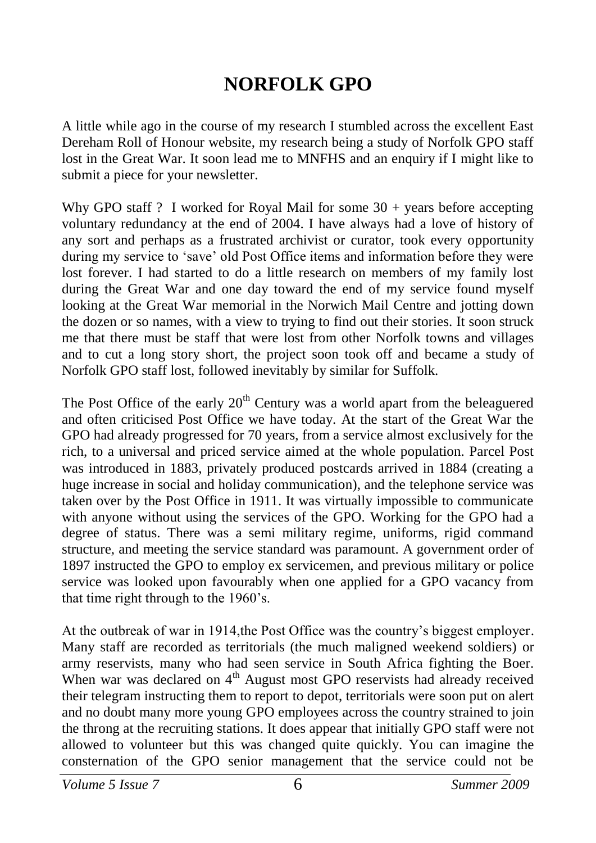## <span id="page-5-0"></span>**NORFOLK GPO**

A little while ago in the course of my research I stumbled across the excellent East Dereham Roll of Honour website, my research being a study of Norfolk GPO staff lost in the Great War. It soon lead me to MNFHS and an enquiry if I might like to submit a piece for your newsletter.

Why GPO staff ? I worked for Royal Mail for some  $30 + \gamma$  years before accepting voluntary redundancy at the end of 2004. I have always had a love of history of any sort and perhaps as a frustrated archivist or curator, took every opportunity during my service to 'save' old Post Office items and information before they were lost forever. I had started to do a little research on members of my family lost during the Great War and one day toward the end of my service found myself looking at the Great War memorial in the Norwich Mail Centre and jotting down the dozen or so names, with a view to trying to find out their stories. It soon struck me that there must be staff that were lost from other Norfolk towns and villages and to cut a long story short, the project soon took off and became a study of Norfolk GPO staff lost, followed inevitably by similar for Suffolk.

The Post Office of the early  $20<sup>th</sup>$  Century was a world apart from the beleaguered and often criticised Post Office we have today. At the start of the Great War the GPO had already progressed for 70 years, from a service almost exclusively for the rich, to a universal and priced service aimed at the whole population. Parcel Post was introduced in 1883, privately produced postcards arrived in 1884 (creating a huge increase in social and holiday communication), and the telephone service was taken over by the Post Office in 1911. It was virtually impossible to communicate with anyone without using the services of the GPO. Working for the GPO had a degree of status. There was a semi military regime, uniforms, rigid command structure, and meeting the service standard was paramount. A government order of 1897 instructed the GPO to employ ex servicemen, and previous military or police service was looked upon favourably when one applied for a GPO vacancy from that time right through to the 1960's.

At the outbreak of war in 1914,the Post Office was the country's biggest employer. Many staff are recorded as territorials (the much maligned weekend soldiers) or army reservists, many who had seen service in South Africa fighting the Boer. When war was declared on 4<sup>th</sup> August most GPO reservists had already received their telegram instructing them to report to depot, territorials were soon put on alert and no doubt many more young GPO employees across the country strained to join the throng at the recruiting stations. It does appear that initially GPO staff were not allowed to volunteer but this was changed quite quickly. You can imagine the consternation of the GPO senior management that the service could not be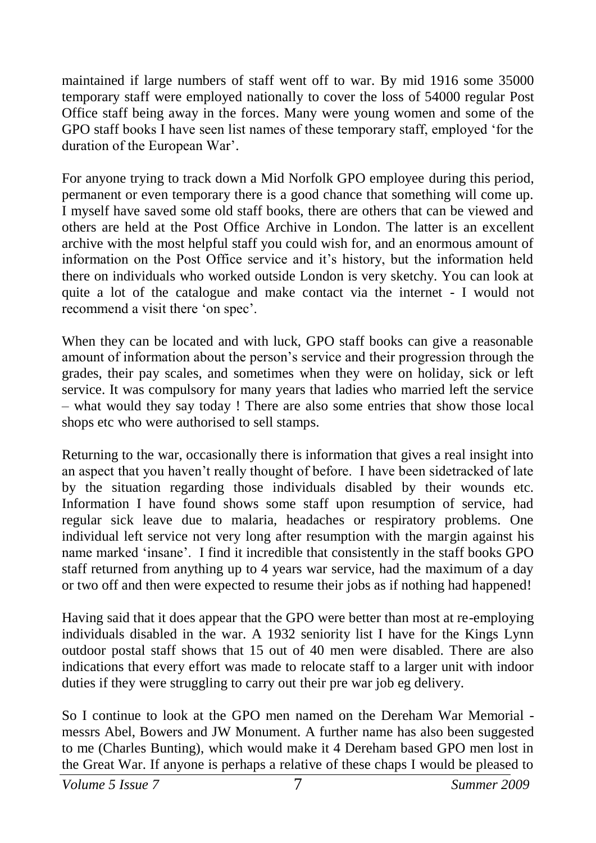maintained if large numbers of staff went off to war. By mid 1916 some 35000 temporary staff were employed nationally to cover the loss of 54000 regular Post Office staff being away in the forces. Many were young women and some of the GPO staff books I have seen list names of these temporary staff, employed 'for the duration of the European War'.

For anyone trying to track down a Mid Norfolk GPO employee during this period, permanent or even temporary there is a good chance that something will come up. I myself have saved some old staff books, there are others that can be viewed and others are held at the Post Office Archive in London. The latter is an excellent archive with the most helpful staff you could wish for, and an enormous amount of information on the Post Office service and it's history, but the information held there on individuals who worked outside London is very sketchy. You can look at quite a lot of the catalogue and make contact via the internet - I would not recommend a visit there 'on spec'.

When they can be located and with luck, GPO staff books can give a reasonable amount of information about the person's service and their progression through the grades, their pay scales, and sometimes when they were on holiday, sick or left service. It was compulsory for many years that ladies who married left the service – what would they say today ! There are also some entries that show those local shops etc who were authorised to sell stamps.

Returning to the war, occasionally there is information that gives a real insight into an aspect that you haven't really thought of before. I have been sidetracked of late by the situation regarding those individuals disabled by their wounds etc. Information I have found shows some staff upon resumption of service, had regular sick leave due to malaria, headaches or respiratory problems. One individual left service not very long after resumption with the margin against his name marked 'insane'. I find it incredible that consistently in the staff books GPO staff returned from anything up to 4 years war service, had the maximum of a day or two off and then were expected to resume their jobs as if nothing had happened!

Having said that it does appear that the GPO were better than most at re-employing individuals disabled in the war. A 1932 seniority list I have for the Kings Lynn outdoor postal staff shows that 15 out of 40 men were disabled. There are also indications that every effort was made to relocate staff to a larger unit with indoor duties if they were struggling to carry out their pre war job eg delivery.

So I continue to look at the GPO men named on the Dereham War Memorial messrs Abel, Bowers and JW Monument. A further name has also been suggested to me (Charles Bunting), which would make it 4 Dereham based GPO men lost in the Great War. If anyone is perhaps a relative of these chaps I would be pleased to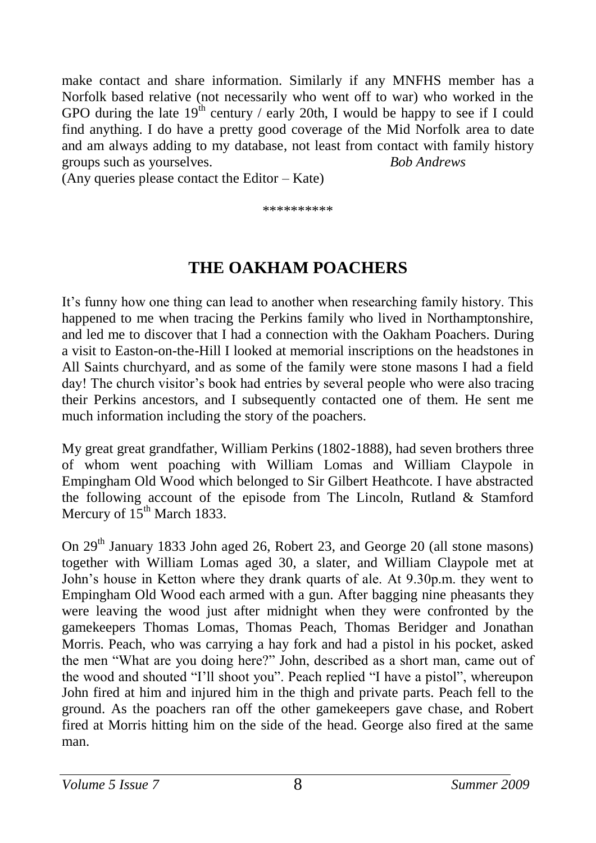make contact and share information. Similarly if any MNFHS member has a Norfolk based relative (not necessarily who went off to war) who worked in the GPO during the late  $19<sup>th</sup>$  century / early 20th, I would be happy to see if I could find anything. I do have a pretty good coverage of the Mid Norfolk area to date and am always adding to my database, not least from contact with family history groups such as yourselves. *Bob Andrews*

(Any queries please contact the Editor – Kate)

<span id="page-7-0"></span>\*\*\*\*\*\*\*\*\*\*

## **THE OAKHAM POACHERS**

It's funny how one thing can lead to another when researching family history. This happened to me when tracing the Perkins family who lived in Northamptonshire, and led me to discover that I had a connection with the Oakham Poachers. During a visit to Easton-on-the-Hill I looked at memorial inscriptions on the headstones in All Saints churchyard, and as some of the family were stone masons I had a field day! The church visitor's book had entries by several people who were also tracing their Perkins ancestors, and I subsequently contacted one of them. He sent me much information including the story of the poachers.

My great great grandfather, William Perkins (1802-1888), had seven brothers three of whom went poaching with William Lomas and William Claypole in Empingham Old Wood which belonged to Sir Gilbert Heathcote. I have abstracted the following account of the episode from The Lincoln, Rutland & Stamford Mercury of  $15^{th}$  March 1833.

On 29<sup>th</sup> January 1833 John aged 26, Robert 23, and George 20 (all stone masons) together with William Lomas aged 30, a slater, and William Claypole met at John's house in Ketton where they drank quarts of ale. At 9.30p.m. they went to Empingham Old Wood each armed with a gun. After bagging nine pheasants they were leaving the wood just after midnight when they were confronted by the gamekeepers Thomas Lomas, Thomas Peach, Thomas Beridger and Jonathan Morris. Peach, who was carrying a hay fork and had a pistol in his pocket, asked the men "What are you doing here?" John, described as a short man, came out of the wood and shouted "I'll shoot you". Peach replied "I have a pistol", whereupon John fired at him and injured him in the thigh and private parts. Peach fell to the ground. As the poachers ran off the other gamekeepers gave chase, and Robert fired at Morris hitting him on the side of the head. George also fired at the same man.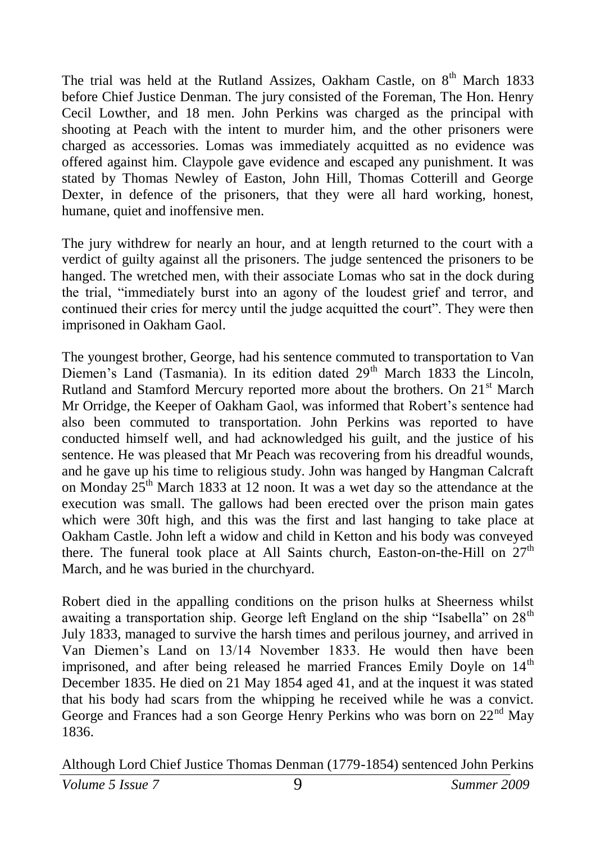The trial was held at the Rutland Assizes, Oakham Castle, on 8<sup>th</sup> March 1833 before Chief Justice Denman. The jury consisted of the Foreman, The Hon. Henry Cecil Lowther, and 18 men. John Perkins was charged as the principal with shooting at Peach with the intent to murder him, and the other prisoners were charged as accessories. Lomas was immediately acquitted as no evidence was offered against him. Claypole gave evidence and escaped any punishment. It was stated by Thomas Newley of Easton, John Hill, Thomas Cotterill and George Dexter, in defence of the prisoners, that they were all hard working, honest, humane, quiet and inoffensive men.

The jury withdrew for nearly an hour, and at length returned to the court with a verdict of guilty against all the prisoners. The judge sentenced the prisoners to be hanged. The wretched men, with their associate Lomas who sat in the dock during the trial, "immediately burst into an agony of the loudest grief and terror, and continued their cries for mercy until the judge acquitted the court". They were then imprisoned in Oakham Gaol.

The youngest brother, George, had his sentence commuted to transportation to Van Diemen's Land (Tasmania). In its edition dated  $29<sup>th</sup>$  March 1833 the Lincoln, Rutland and Stamford Mercury reported more about the brothers. On 21<sup>st</sup> March Mr Orridge, the Keeper of Oakham Gaol, was informed that Robert's sentence had also been commuted to transportation. John Perkins was reported to have conducted himself well, and had acknowledged his guilt, and the justice of his sentence. He was pleased that Mr Peach was recovering from his dreadful wounds, and he gave up his time to religious study. John was hanged by Hangman Calcraft on Monday  $25<sup>th</sup>$  March 1833 at 12 noon. It was a wet day so the attendance at the execution was small. The gallows had been erected over the prison main gates which were 30ft high, and this was the first and last hanging to take place at Oakham Castle. John left a widow and child in Ketton and his body was conveyed there. The funeral took place at All Saints church, Easton-on-the-Hill on  $27<sup>th</sup>$ March, and he was buried in the churchyard.

Robert died in the appalling conditions on the prison hulks at Sheerness whilst awaiting a transportation ship. George left England on the ship "Isabella" on 28<sup>th</sup> July 1833, managed to survive the harsh times and perilous journey, and arrived in Van Diemen's Land on 13/14 November 1833. He would then have been imprisoned, and after being released he married Frances Emily Doyle on 14<sup>th</sup> December 1835. He died on 21 May 1854 aged 41, and at the inquest it was stated that his body had scars from the whipping he received while he was a convict. George and Frances had a son George Henry Perkins who was born on 22<sup>nd</sup> May 1836.

Although Lord Chief Justice Thomas Denman (1779-1854) sentenced John Perkins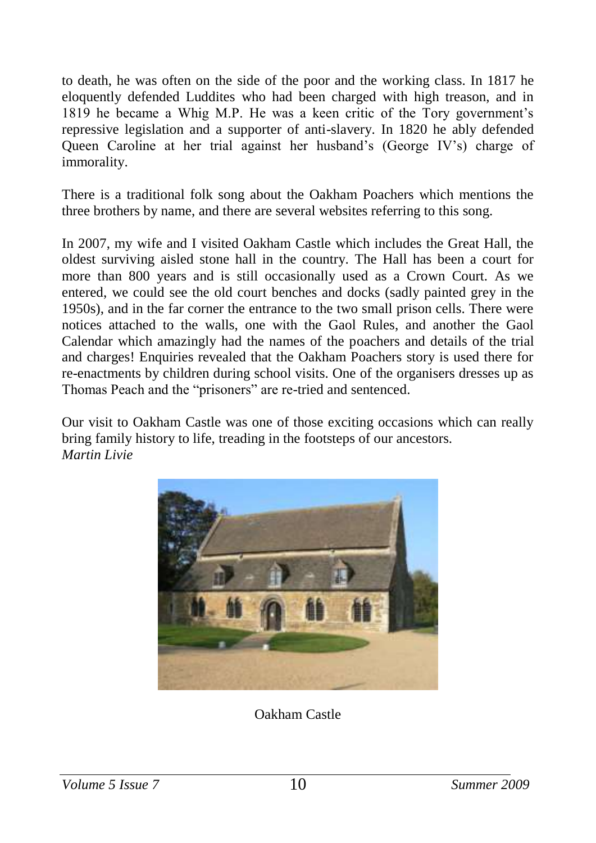to death, he was often on the side of the poor and the working class. In 1817 he eloquently defended Luddites who had been charged with high treason, and in 1819 he became a Whig M.P. He was a keen critic of the Tory government's repressive legislation and a supporter of anti-slavery. In 1820 he ably defended Queen Caroline at her trial against her husband's (George IV's) charge of immorality.

There is a traditional folk song about the Oakham Poachers which mentions the three brothers by name, and there are several websites referring to this song.

In 2007, my wife and I visited Oakham Castle which includes the Great Hall, the oldest surviving aisled stone hall in the country. The Hall has been a court for more than 800 years and is still occasionally used as a Crown Court. As we entered, we could see the old court benches and docks (sadly painted grey in the 1950s), and in the far corner the entrance to the two small prison cells. There were notices attached to the walls, one with the Gaol Rules, and another the Gaol Calendar which amazingly had the names of the poachers and details of the trial and charges! Enquiries revealed that the Oakham Poachers story is used there for re-enactments by children during school visits. One of the organisers dresses up as Thomas Peach and the "prisoners" are re-tried and sentenced.

Our visit to Oakham Castle was one of those exciting occasions which can really bring family history to life, treading in the footsteps of our ancestors. *Martin Livie*



Oakham Castle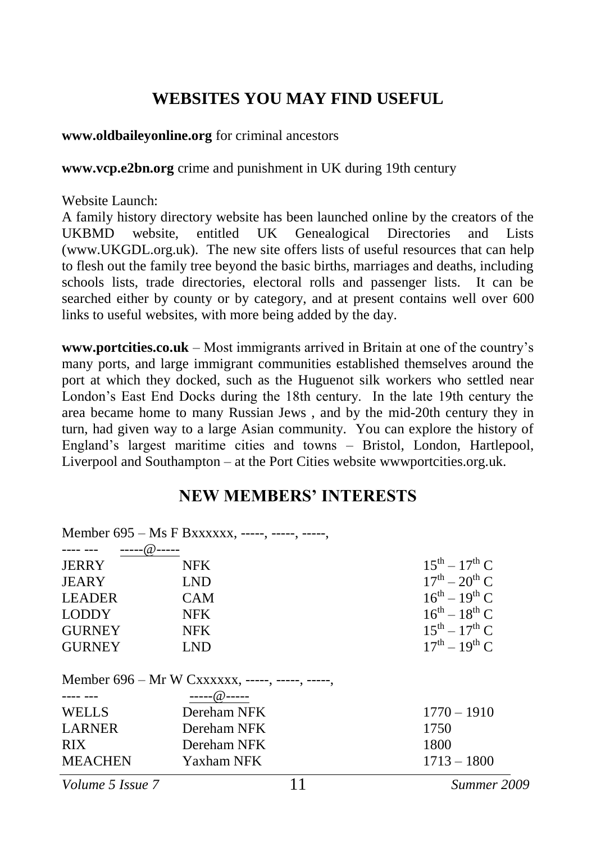#### <span id="page-10-0"></span>**WEBSITES YOU MAY FIND USEFUL**

#### **[www.oldbaileyonline.org](http://www.oldbaileyonline.org/)** for criminal ancestors

**www.vcp.e2bn.org** crime and punishment in UK during 19th century

Website Launch:

A family history directory website has been launched online by the creators of the UKBMD website, entitled UK Genealogical Directories and Lists [\(www.UKGDL.org.uk\)](http://www.ukgdl.org.uk/). The new site offers lists of useful resources that can help to flesh out the family tree beyond the basic births, marriages and deaths, including schools lists, trade directories, electoral rolls and passenger lists. It can be searched either by county or by category, and at present contains well over 600 links to useful websites, with more being added by the day.

**[www.portcities.co.uk](http://www.portcities.co.uk/)** – Most immigrants arrived in Britain at one of the country's many ports, and large immigrant communities established themselves around the port at which they docked, such as the Huguenot silk workers who settled near London's East End Docks during the 18th century. In the late 19th century the area became home to many Russian Jews , and by the mid-20th century they in turn, had given way to a large Asian community. You can explore the history of England's largest maritime cities and towns – Bristol, London, Hartlepool, Liverpool and Southampton – at the Port Cities website wwwportcities.org.uk.

#### <span id="page-10-1"></span>**NEW MEMBERS' INTERESTS**

|                                                 | Member 695 - Ms F Bxxxxxx, -----, -----, -----, |                       |  |
|-------------------------------------------------|-------------------------------------------------|-----------------------|--|
| --@-----                                        |                                                 |                       |  |
| <b>JERRY</b>                                    | <b>NFK</b>                                      | $15^{th} - 17^{th}$ C |  |
| JEARY                                           | <b>LND</b>                                      | $17^{th} - 20^{th}$ C |  |
| <b>LEADER</b>                                   | <b>CAM</b>                                      | $16^{th} - 19^{th}$ C |  |
| <b>LODDY</b>                                    | <b>NFK</b>                                      | $16^{th} - 18^{th}$ C |  |
| <b>GURNEY</b>                                   | <b>NFK</b>                                      | $15^{th} - 17^{th}$ C |  |
| <b>GURNEY</b>                                   | <b>LND</b>                                      | $17^{th} - 19^{th}$ C |  |
| Member 696 – Mr W Cxxxxxx, -----, -----, -----, |                                                 |                       |  |
|                                                 | ----- $@$ -----                                 |                       |  |
| <b>WELLS</b>                                    | Dereham NFK                                     | $1770 - 1910$         |  |
| <b>LARNER</b>                                   | Dereham NFK                                     | 1750                  |  |
| RIX.                                            | Dereham NFK                                     | 1800                  |  |
| <b>MEACHEN</b>                                  | Yaxham NFK                                      | $1713 - 1800$         |  |

*Volume 5 Issue 7* 11 *Summer 2009*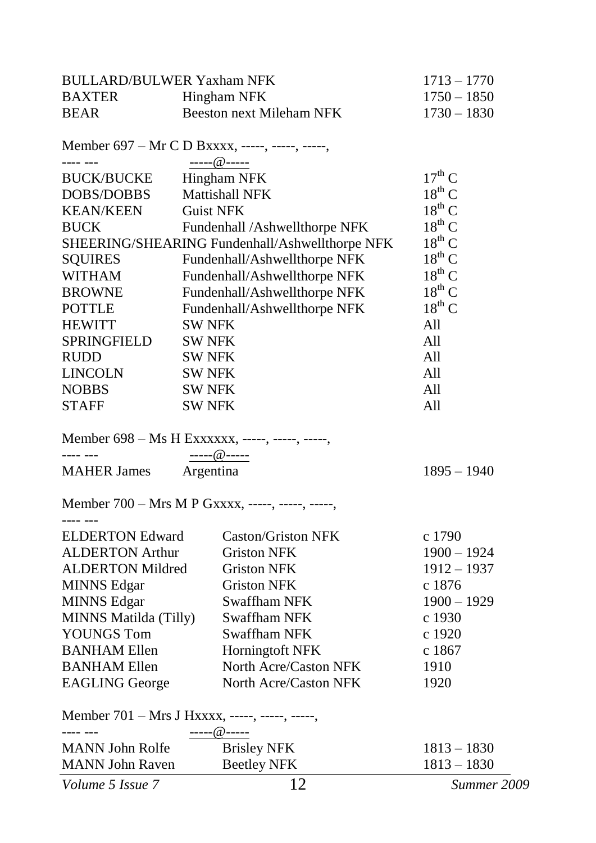| <b>BULLARD/BULWER Yaxham NFK</b>                           |               | $1713 - 1770$                                    |                    |
|------------------------------------------------------------|---------------|--------------------------------------------------|--------------------|
| <b>BAXTER</b>                                              |               | Hingham NFK                                      | $1750 - 1850$      |
| <b>BEAR</b>                                                |               | <b>Beeston next Mileham NFK</b>                  | $1730 - 1830$      |
|                                                            |               | Member 697 – Mr C D Bxxxx, -----, -----, -----,  |                    |
|                                                            |               | ----- $@$ -----                                  |                    |
| <b>BUCK/BUCKE</b>                                          |               | <b>Hingham NFK</b>                               | $17^{\text{th}}$ C |
| DOBS/DOBBS                                                 |               | Mattishall NFK                                   | $18^{th}$ C        |
| <b>KEAN/KEEN</b>                                           |               | <b>Guist NFK</b>                                 | $18^{\rm th}$ C    |
| BUCK                                                       |               | Fundenhall /Ashwellthorpe NFK                    | $18^{\text{th}}$ C |
|                                                            |               | SHEERING/SHEARING Fundenhall/Ashwellthorpe NFK   | $18^{th}$ C        |
| <b>SQUIRES</b>                                             |               | Fundenhall/Ashwellthorpe NFK                     | $18^{\rm th}$ C    |
| <b>WITHAM</b>                                              |               | Fundenhall/Ashwellthorpe NFK                     | $18^{th}$ C        |
| <b>BROWNE</b>                                              |               | Fundenhall/Ashwellthorpe NFK                     | $18^{\rm th}$ C    |
| <b>POTTLE</b>                                              |               | Fundenhall/Ashwellthorpe NFK                     | $18^{th}$ C        |
| <b>HEWITT</b>                                              | <b>SW NFK</b> |                                                  | All                |
| SPRINGFIELD                                                | <b>SW NFK</b> |                                                  | All                |
| RUDD                                                       | <b>SW NFK</b> |                                                  | All                |
| LINCOLN                                                    | <b>SW NFK</b> |                                                  | All                |
| <b>NOBBS</b>                                               | SW NFK        |                                                  | All                |
| <b>STAFF</b>                                               | <b>SW NFK</b> |                                                  | All                |
|                                                            |               | Member 698 - Ms H Exxxxxx, -----, -----, -----,  |                    |
| بالبابا بالبابات                                           |               | -----@-----                                      |                    |
| <b>MAHER James</b>                                         |               | Argentina                                        | $1895 - 1940$      |
|                                                            |               | Member 700 - Mrs M P Gxxxx, -----, -----, -----, |                    |
| ---- ---<br><b>ELDERTON Edward</b>                         |               | <b>Caston/Griston NFK</b>                        | c 1790             |
| <b>ALDERTON Arthur</b>                                     |               | <b>Griston NFK</b>                               | $1900 - 1924$      |
| <b>ALDERTON Mildred</b>                                    |               | <b>Griston NFK</b>                               | $1912 - 1937$      |
| <b>MINNS Edgar</b>                                         |               | <b>Griston NFK</b>                               | c 1876             |
| <b>MINNS Edgar</b>                                         |               | <b>Swaffham NFK</b>                              | $1900 - 1929$      |
| MINNS Matilda (Tilly)                                      |               | <b>Swaffham NFK</b>                              | c 1930             |
| <b>YOUNGS Tom</b>                                          |               | Swaffham NFK                                     | c 1920             |
| <b>BANHAM Ellen</b>                                        |               | Horningtoft NFK                                  | c 1867             |
| <b>BANHAM Ellen</b>                                        |               | North Acre/Caston NFK                            | 1910               |
| <b>EAGLING</b> George                                      |               | North Acre/Caston NFK                            | 1920               |
| Member 701 - Mrs J Hxxxx, -----, -----, -----,<br>---- --- |               |                                                  |                    |
|                                                            |               | ----- @-----                                     |                    |
| <b>MANN</b> John Rolfe<br><b>MANN</b> John Raven           |               | <b>Brisley NFK</b>                               | $1813 - 1830$      |
|                                                            |               | <b>Beetley NFK</b>                               | $1813 - 1830$      |
| Volume 5 Issue 7                                           |               | $\overline{1}2$                                  | Summer 2009        |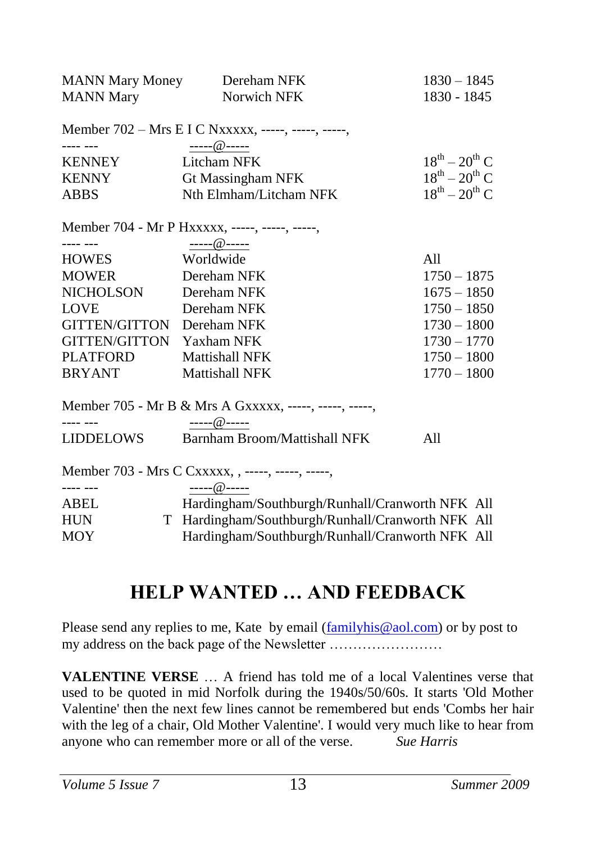| <b>MANN Mary Money</b>    | Dereham NFK                                            | $1830 - 1845$         |
|---------------------------|--------------------------------------------------------|-----------------------|
| <b>MANN Mary</b>          | Norwich NFK                                            | 1830 - 1845           |
|                           | Member 702 - Mrs E I C Nxxxxx, -----, -----, -----,    |                       |
|                           | $\frac{1}{2}$ ----- @ -----                            |                       |
| <b>KENNEY</b>             | Litcham NFK                                            | $18^{th} - 20^{th}$ C |
| <b>KENNY</b>              | Gt Massingham NFK                                      | $18^{th} - 20^{th}$ C |
| <b>ABBS</b>               | Nth Elmham/Litcham NFK                                 | $18^{th} - 20^{th}$ C |
|                           | Member 704 - Mr P Hxxxxx, -----, -----, -----,         |                       |
|                           | ----- $@$ -----                                        |                       |
| <b>HOWES</b>              | Worldwide                                              | A11                   |
| <b>MOWER</b>              | Dereham NFK                                            | $1750 - 1875$         |
| NICHOLSON                 | Dereham NFK                                            | $1675 - 1850$         |
| <b>LOVE</b>               | Dereham NFK                                            | $1750 - 1850$         |
| GITTEN/GITTON Dereham NFK |                                                        | $1730 - 1800$         |
| <b>GITTEN/GITTON</b>      | Yaxham NFK                                             | $1730 - 1770$         |
| <b>PLATFORD</b>           | <b>Mattishall NFK</b>                                  | $1750 - 1800$         |
| <b>BRYANT</b>             | <b>Mattishall NFK</b>                                  | $1770 - 1800$         |
|                           | Member 705 - Mr B & Mrs A Gxxxxx, -----, -----, -----, |                       |
|                           | ----- $@$ -----                                        |                       |
| LIDDELOWS                 | Barnham Broom/Mattishall NFK                           | A11                   |
|                           | Member 703 - Mrs C Cxxxxx, , -----, -----, -----,      |                       |
| $- - - - - - -$           | ----- $@$ -----                                        |                       |
| <b>ABEL</b>               | Hardingham/Southburgh/Runhall/Cranworth NFK All        |                       |
| <b>HUN</b>                | T Hardingham/Southburgh/Runhall/Cranworth NFK All      |                       |
| <b>MOY</b>                | Hardingham/Southburgh/Runhall/Cranworth NFK All        |                       |
|                           |                                                        |                       |

## <span id="page-12-0"></span>**HELP WANTED … AND FEEDBACK**

Please send any replies to me, Kate by email [\(familyhis@aol.com\)](mailto:familyhis@aol.com) or by post to my address on the back page of the Newsletter ……………………

**VALENTINE VERSE** … A friend has told me of a local Valentines verse that used to be quoted in mid Norfolk during the 1940s/50/60s. It starts 'Old Mother Valentine' then the next few lines cannot be remembered but ends 'Combs her hair with the leg of a chair, Old Mother Valentine'. I would very much like to hear from anyone who can remember more or all of the verse. *Sue Harris*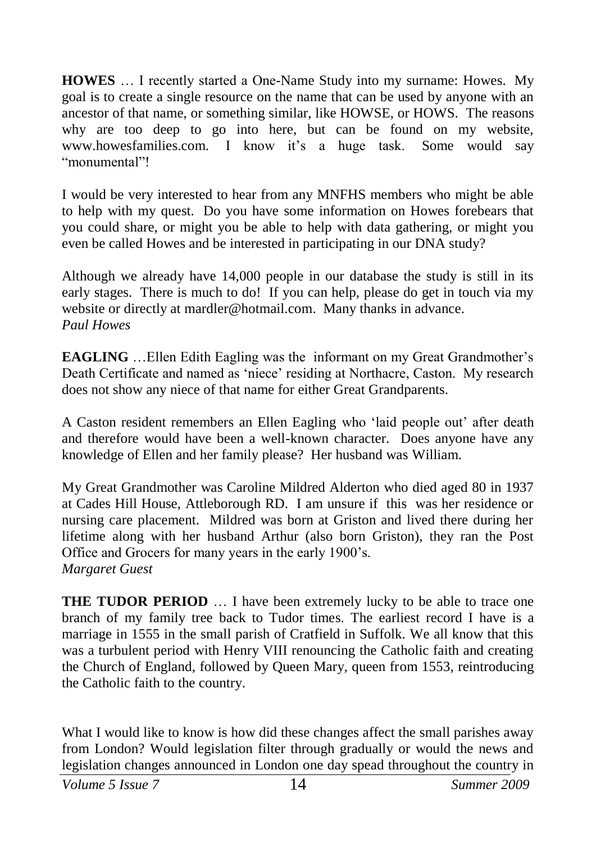**HOWES** … I recently started a One-Name Study into my surname: Howes. My goal is to create a single resource on the name that can be used by anyone with an ancestor of that name, or something similar, like HOWSE, or HOWS. The reasons why are too deep to go into here, but can be found on my website, www.howesfamilies.com. I know it's a huge task. Some would say "monumental"!

I would be very interested to hear from any MNFHS members who might be able to help with my quest. Do you have some information on Howes forebears that you could share, or might you be able to help with data gathering, or might you even be called Howes and be interested in participating in our DNA study?

Although we already have 14,000 people in our database the study is still in its early stages. There is much to do! If you can help, please do get in touch via my website or directly at [mardler@hotmail.com.](mip://07d04e88/mardler@hotmail.com) Many thanks in advance. *Paul Howes*

**EAGLING** …Ellen Edith Eagling was the informant on my Great Grandmother's Death Certificate and named as 'niece' residing at Northacre, Caston. My research does not show any niece of that name for either Great Grandparents.

A Caston resident remembers an Ellen Eagling who 'laid people out' after death and therefore would have been a well-known character. Does anyone have any knowledge of Ellen and her family please? Her husband was William.

My Great Grandmother was Caroline Mildred Alderton who died aged 80 in 1937 at Cades Hill House, Attleborough RD. I am unsure if this was her residence or nursing care placement. Mildred was born at Griston and lived there during her lifetime along with her husband Arthur (also born Griston), they ran the Post Office and Grocers for many years in the early 1900's. *Margaret Guest*

**THE TUDOR PERIOD** ... I have been extremely lucky to be able to trace one branch of my family tree back to Tudor times. The earliest record I have is a marriage in 1555 in the small parish of Cratfield in Suffolk. We all know that this was a turbulent period with Henry VIII renouncing the Catholic faith and creating the Church of England, followed by Queen Mary, queen from 1553, reintroducing the Catholic faith to the country.

What I would like to know is how did these changes affect the small parishes away from London? Would legislation filter through gradually or would the news and legislation changes announced in London one day spead throughout the country in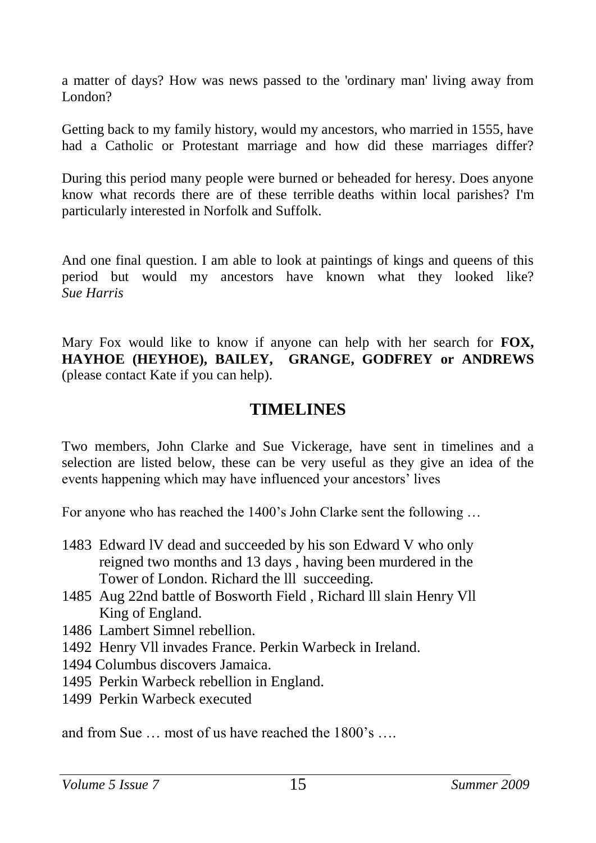a matter of days? How was news passed to the 'ordinary man' living away from  $L_{\alpha}$ 

Getting back to my family history, would my ancestors, who married in 1555, have had a Catholic or Protestant marriage and how did these marriages differ?

During this period many people were burned or beheaded for heresy. Does anyone know what records there are of these terrible deaths within local parishes? I'm particularly interested in Norfolk and Suffolk.

And one final question. I am able to look at paintings of kings and queens of this period but would my ancestors have known what they looked like? *Sue Harris*

Mary Fox would like to know if anyone can help with her search for **FOX, HAYHOE (HEYHOE), BAILEY, GRANGE, GODFREY or ANDREWS** (please contact Kate if you can help).

#### <span id="page-14-0"></span>**TIMELINES**

Two members, John Clarke and Sue Vickerage, have sent in timelines and a selection are listed below, these can be very useful as they give an idea of the events happening which may have influenced your ancestors' lives

For anyone who has reached the 1400's John Clarke sent the following …

- 1483 Edward lV dead and succeeded by his son Edward V who only reigned two months and 13 days , having been murdered in the Tower of London. Richard the lll succeeding.
- 1485 Aug 22nd battle of Bosworth Field , Richard lll slain Henry Vll King of England.
- 1486 Lambert Simnel rebellion.
- 1492 Henry Vll invades France. Perkin Warbeck in Ireland.
- 1494 Columbus discovers Jamaica.
- 1495 Perkin Warbeck rebellion in England.
- 1499 Perkin Warbeck executed

and from Sue … most of us have reached the 1800's ….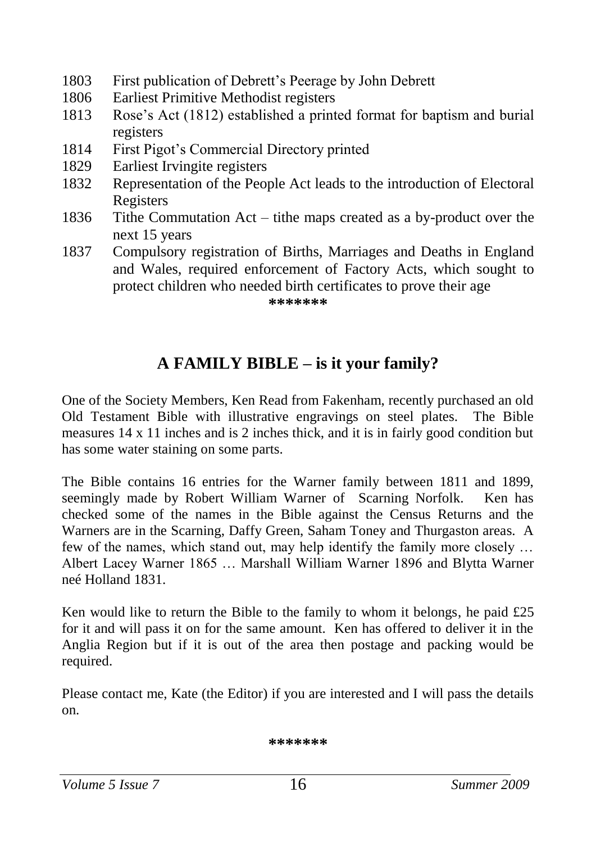- 1803 First publication of Debrett's Peerage by John Debrett
- 1806 Earliest Primitive Methodist registers
- 1813 Rose's Act (1812) established a printed format for baptism and burial registers
- 1814 First Pigot's Commercial Directory printed
- 1829 Earliest Irvingite registers
- 1832 Representation of the People Act leads to the introduction of Electoral Registers
- 1836 Tithe Commutation Act tithe maps created as a by-product over the next 15 years
- 1837 Compulsory registration of Births, Marriages and Deaths in England and Wales, required enforcement of Factory Acts, which sought to protect children who needed birth certificates to prove their age

<span id="page-15-0"></span>**\*\*\*\*\*\*\***

## **A FAMILY BIBLE – is it your family?**

One of the Society Members, Ken Read from Fakenham, recently purchased an old Old Testament Bible with illustrative engravings on steel plates. The Bible measures 14 x 11 inches and is 2 inches thick, and it is in fairly good condition but has some water staining on some parts.

The Bible contains 16 entries for the Warner family between 1811 and 1899, seemingly made by Robert William Warner of Scarning Norfolk. Ken has checked some of the names in the Bible against the Census Returns and the Warners are in the Scarning, Daffy Green, Saham Toney and Thurgaston areas. A few of the names, which stand out, may help identify the family more closely … Albert Lacey Warner 1865 … Marshall William Warner 1896 and Blytta Warner neé Holland 1831.

Ken would like to return the Bible to the family to whom it belongs, he paid  $£25$ for it and will pass it on for the same amount. Ken has offered to deliver it in the Anglia Region but if it is out of the area then postage and packing would be required.

Please contact me, Kate (the Editor) if you are interested and I will pass the details on.

**\*\*\*\*\*\*\***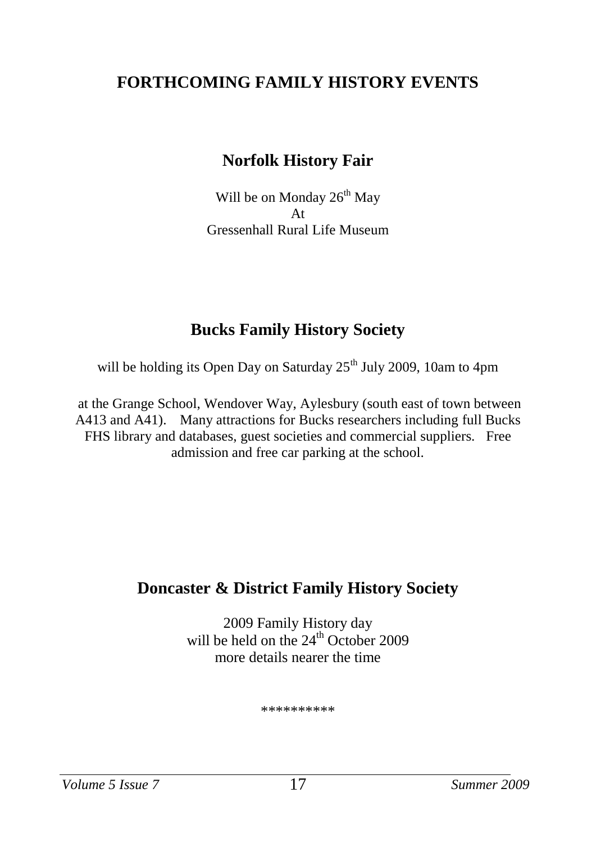#### **FORTHCOMING FAMILY HISTORY EVENTS**

#### <span id="page-16-0"></span>**Norfolk History Fair**

Will be on Monday  $26^{th}$  May At Gressenhall Rural Life Museum

## **Bucks Family History Society**

will be holding its Open Day on Saturday 25<sup>th</sup> July 2009. 10am to 4pm

at the Grange School, Wendover Way, Aylesbury (south east of town between A413 and A41). Many attractions for Bucks researchers including full Bucks FHS library and databases, guest societies and commercial suppliers. Free admission and free car parking at the school.

## **Doncaster & District Family History Society**

2009 Family History day will be held on the 24<sup>th</sup> October 2009 more details nearer the time

\*\*\*\*\*\*\*\*\*\*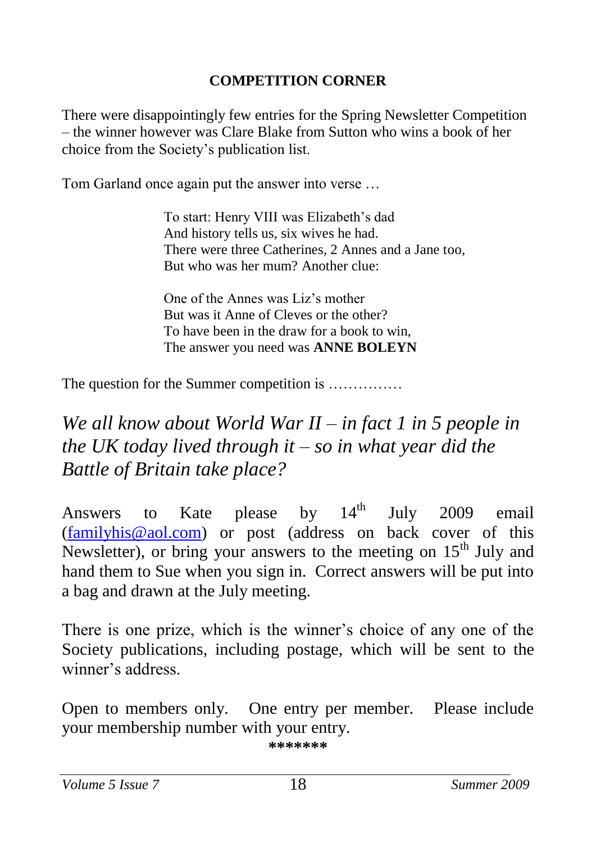#### <span id="page-17-0"></span>**COMPETITION CORNER**

There were disappointingly few entries for the Spring Newsletter Competition – the winner however was Clare Blake from Sutton who wins a book of her choice from the Society's publication list.

Tom Garland once again put the answer into verse …

To start: Henry VIII was Elizabeth's dad And history tells us, six wives he had. There were three Catherines, 2 Annes and a Jane too, But who was her mum? Another clue:

One of the Annes was Liz's mother But was it Anne of Cleves or the other? To have been in the draw for a book to win, The answer you need was **ANNE BOLEYN**

The question for the Summer competition is ..............

## *We all know about World War II – in fact 1 in 5 people in the UK today lived through it – so in what year did the Battle of Britain take place?*

Answers to Kate please by  $14<sup>th</sup>$  July 2009 email [\(familyhis@aol.com\)](mailto:familyhis@aol.com) or post (address on back cover of this Newsletter), or bring your answers to the meeting on  $15<sup>th</sup>$  July and hand them to Sue when you sign in. Correct answers will be put into a bag and drawn at the July meeting.

There is one prize, which is the winner's choice of any one of the Society publications, including postage, which will be sent to the winner's address.

Open to members only. One entry per member. Please include your membership number with your entry. **\*\*\*\*\*\*\***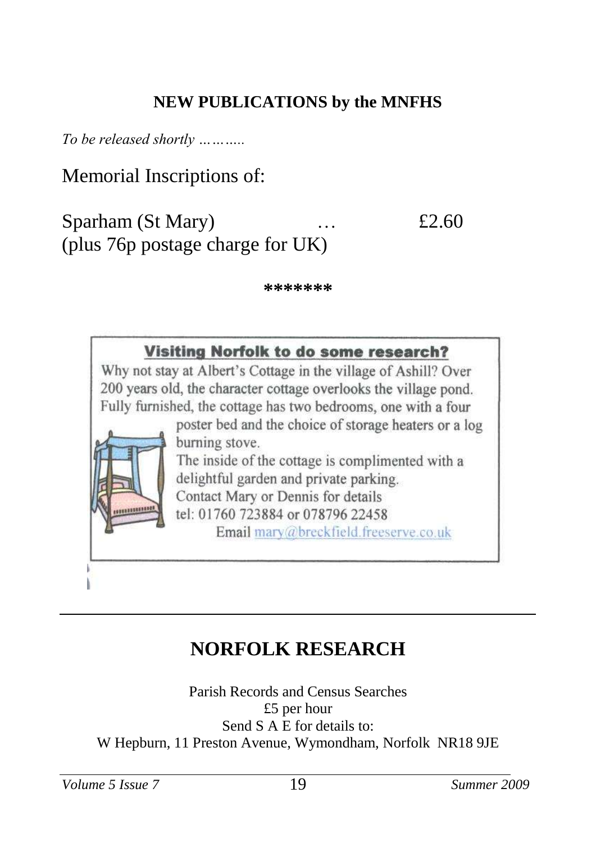## **NEW PUBLICATIONS by the MNFHS**

*To be released shortly ………..*

Memorial Inscriptions of:

Sparham (St Mary) … <br> £2.60 (plus 76p postage charge for UK)

<span id="page-18-0"></span>**\*\*\*\*\*\*\***



## **NORFOLK RESEARCH**

Parish Records and Census Searches £5 per hour Send S A E for details to: W Hepburn, 11 Preston Avenue, Wymondham, Norfolk NR18 9JE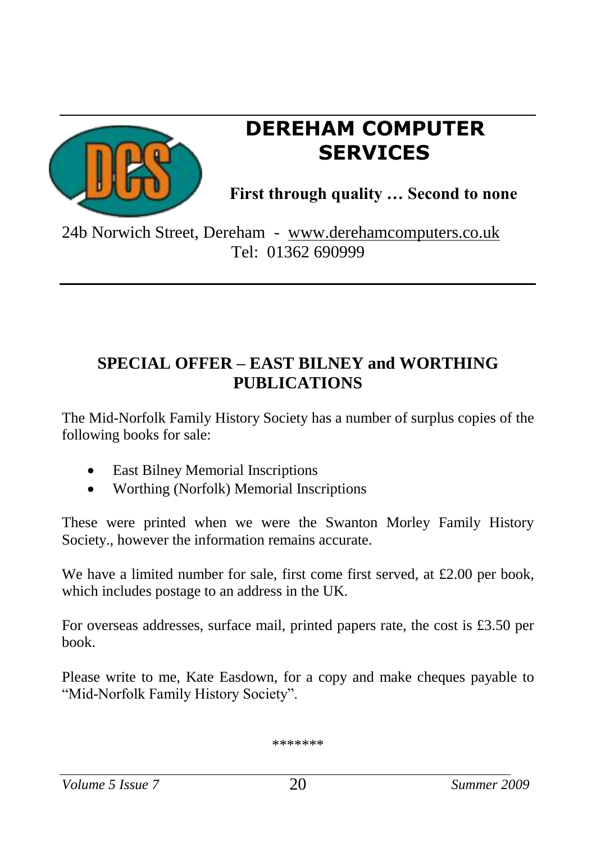

## **DEREHAM COMPUTER SERVICES**

<span id="page-19-0"></span>**First through quality … Second to none**

24b Norwich Street, Dereham - [www.derehamcomputers.co.uk](http://www.derehamcomputers.co.uk/) Tel: 01362 690999

## **SPECIAL OFFER – EAST BILNEY and WORTHING PUBLICATIONS**

The Mid-Norfolk Family History Society has a number of surplus copies of the following books for sale:

- East Bilney Memorial Inscriptions
- Worthing (Norfolk) Memorial Inscriptions

These were printed when we were the Swanton Morley Family History Society., however the information remains accurate.

We have a limited number for sale, first come first served, at £2.00 per book, which includes postage to an address in the UK.

For overseas addresses, surface mail, printed papers rate, the cost is £3.50 per book.

Please write to me, Kate Easdown, for a copy and make cheques payable to "Mid-Norfolk Family History Society".

\*\*\*\*\*\*\*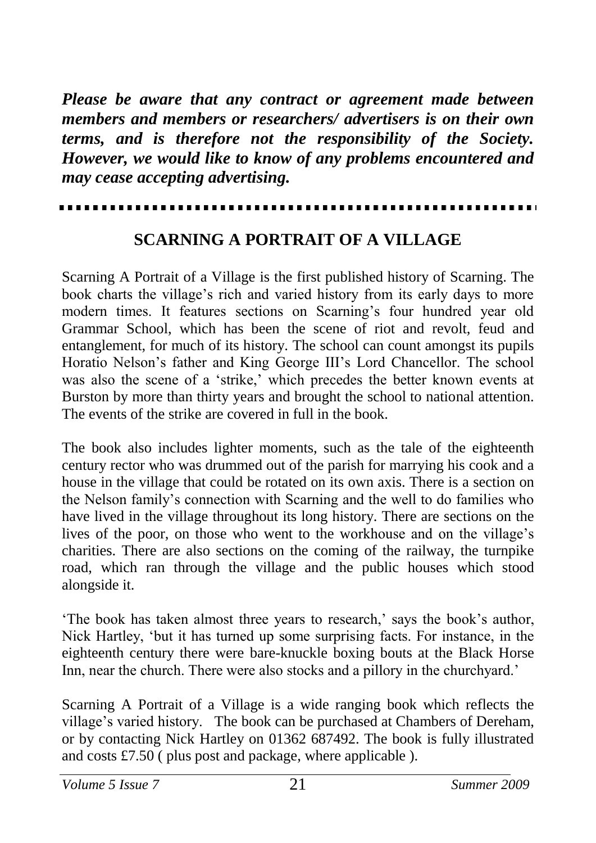*Please be aware that any contract or agreement made between members and members or researchers/ advertisers is on their own terms, and is therefore not the responsibility of the Society. However, we would like to know of any problems encountered and may cease accepting advertising.*

#### <span id="page-20-0"></span>**SCARNING A PORTRAIT OF A VILLAGE**

Scarning A Portrait of a Village is the first published history of Scarning. The book charts the village's rich and varied history from its early days to more modern times. It features sections on Scarning's four hundred year old Grammar School, which has been the scene of riot and revolt, feud and entanglement, for much of its history. The school can count amongst its pupils Horatio Nelson's father and King George III's Lord Chancellor. The school was also the scene of a 'strike,' which precedes the better known events at Burston by more than thirty years and brought the school to national attention. The events of the strike are covered in full in the book.

The book also includes lighter moments, such as the tale of the eighteenth century rector who was drummed out of the parish for marrying his cook and a house in the village that could be rotated on its own axis. There is a section on the Nelson family's connection with Scarning and the well to do families who have lived in the village throughout its long history. There are sections on the lives of the poor, on those who went to the workhouse and on the village's charities. There are also sections on the coming of the railway, the turnpike road, which ran through the village and the public houses which stood alongside it.

'The book has taken almost three years to research,' says the book's author, Nick Hartley, 'but it has turned up some surprising facts. For instance, in the eighteenth century there were bare-knuckle boxing bouts at the Black Horse Inn, near the church. There were also stocks and a pillory in the churchyard.'

Scarning A Portrait of a Village is a wide ranging book which reflects the village's varied history. The book can be purchased at Chambers of Dereham, or by contacting Nick Hartley on 01362 687492. The book is fully illustrated and costs £7.50 ( plus post and package, where applicable ).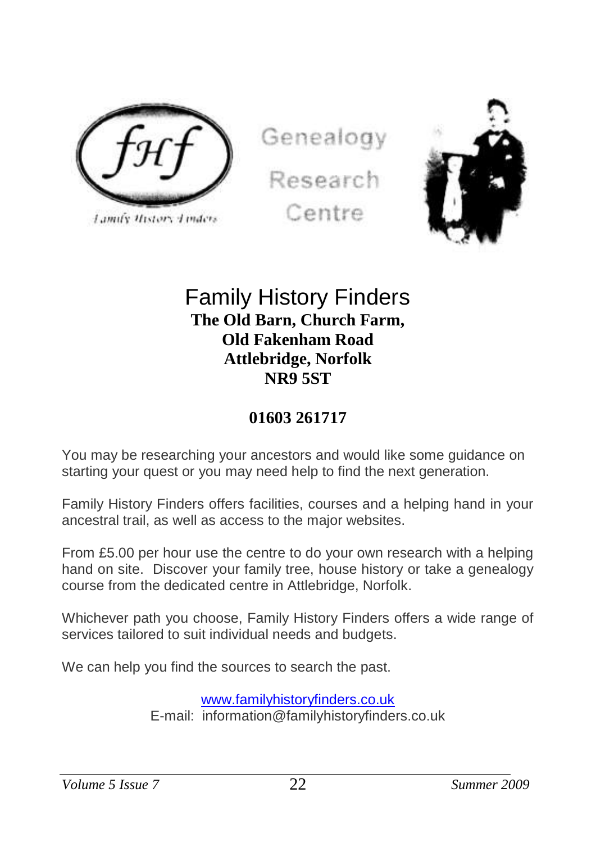

Lamify History Linders

Genealogy Research Centre



## Family History Finders **The Old Barn, Church Farm, Old Fakenham Road Attlebridge, Norfolk NR9 5ST**

## **01603 261717**

You may be researching your ancestors and would like some guidance on starting your quest or you may need help to find the next generation.

Family History Finders offers facilities, courses and a helping hand in your ancestral trail, as well as access to the major websites.

From £5.00 per hour use the centre to do your own research with a helping hand on site. Discover your family tree, house history or take a genealogy course from the dedicated centre in Attlebridge, Norfolk.

Whichever path you choose, Family History Finders offers a wide range of services tailored to suit individual needs and budgets.

We can help you find the sources to search the past.

[www.familyhistoryfinders.co.uk](http://www.familyhistoryfinders.co.uk/) E-mail: information@familyhistoryfinders.co.uk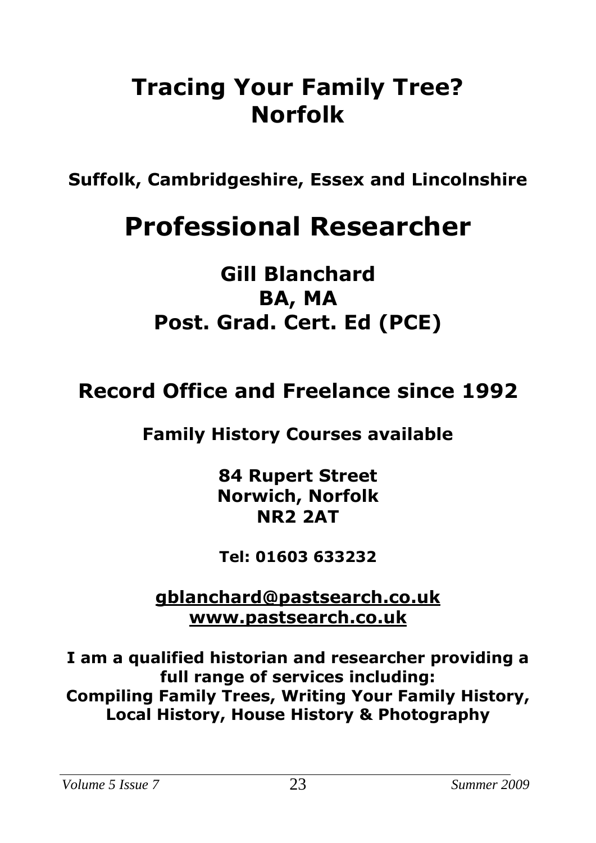# **Tracing Your Family Tree? Norfolk**

**Suffolk, Cambridgeshire, Essex and Lincolnshire**

# **Professional Researcher**

## **Gill Blanchard BA, MA Post. Grad. Cert. Ed (PCE)**

## **Record Office and Freelance since 1992**

## **Family History Courses available**

**84 Rupert Street Norwich, Norfolk NR2 2AT**

**Tel: 01603 633232**

**[gblanchard@pastsearch.co.uk](mailto:gblanchard@pastsearch.co.uk) [www.pastsearch.co.uk](http://www.pastsearch.co.uk/)**

**I am a qualified historian and researcher providing a full range of services including: Compiling Family Trees, Writing Your Family History, Local History, House History & Photography**